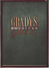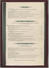STARTERS -

PIZZA FLORENTINE cheese, creamed spinach, tomatoes, artichokes, chives and jalapeños

| CHEESE TOAST multi-grain toast topped with Wisconsin cheddar, Monterey Jack & parmesan cheese 2.35 |
|----------------------------------------------------------------------------------------------------|
| OUESO & CHIPS tortilla chips served with your choice of queso or spinach queso 3.95                |
| SALSA WITH TORTILLA CHIPS our spicy San Antonio salsa with tortilla chips1.75                      |
|                                                                                                    |

# SALADS, SOUPS & QUICHE

Signature dressings: Dijon Honey, Bleu Cheese, Fresh Basil Vinaigrette, No Fat Vinaigrette, Caesar, Lite Ranch, Thousand Island

| GREENHOUSE SALAD mixed greens, red cabbage, carrots, almonds, and bacon  3.95                                                      |      |
|------------------------------------------------------------------------------------------------------------------------------------|------|
|                                                                                                                                    |      |
|                                                                                                                                    |      |
|                                                                                                                                    |      |
|                                                                                                                                    |      |
| GRILLED CHICKEN SALAD mesquite grilled chicken, mixed greens, vegetables,                                                          |      |
|                                                                                                                                    | 6.45 |
| CHICKEN CAESAR SALAD grilled, sliced chicken breast on our Caesar Salad. 5.95                                                      |      |
| OUICHE OF THE DAY baked fresh daily and served with Amaretto Cinnamon Apples  4.95<br>With a Greenhouse or Caesar Salad, add 2.45. |      |

# SANDWICHES & BURGERS

Served with Tater Twirls<sup>TM</sup>. With a Greenhouse or Caesar Salad, add 2.45.

| MESQUITE CHICKEN SANDWICH Monterey Jack cheese and dijon honey on multi-grain bread  6.25           |
|-----------------------------------------------------------------------------------------------------|
| GRILLED CHICKEN BLT Monterey Jack cheese and mayonnaise on a multi-grain bun5.65                    |
| COUNTRY CLUB turkey, bacon, ham, Monterey Jack, Wisconsin cheddar, mayonnaise                       |
| .6.25                                                                                               |
|                                                                                                     |
|                                                                                                     |
| AMERICAN BURGER Wisconsin cheddar, lettuce, tomato, pickles & red onion on a sesame-seed buri  5.45 |
| BACON AND SWISS BURGER Swiss cheese, bacon, lettuce and tomato on a sesame-seed bun  5.95           |
|                                                                                                     |

Heart Healthy - less than 500 calories and less than 16 grams of fat.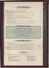# **CHICKEN & PASTAL**

With a Greenhouse or Caesar Salad, add 2.45

| SOMETHING CHICKEN ham, Wisconsin cheddar, Homemade Mashed Potatoes, gravy                    |  |
|----------------------------------------------------------------------------------------------|--|
| ROTISSERIE CHICKEN rosemary and orange spiced 1/2 chicken served with Homemade               |  |
|                                                                                              |  |
|                                                                                              |  |
| CRISPY CHICKEN PLATTER fried chicken tenderioins with Tater Twirls™ and                      |  |
|                                                                                              |  |
| SEAFOOD PASTA sautéed shrimp, crab and white fish with Linguini Alfredo and your choice of a |  |
|                                                                                              |  |
| GRILLED CHICKEN PASTA mesquite grilled, marinated chicken with Linguini Alfredo and          |  |
|                                                                                              |  |

### **GRADY'S SPECIALTIES**

**SLOW ROASTED PRIME RIB....... 12.95** Special Baked Potato and a Greenhouse or Caesar Salad

### FRESH FARM-RAISED NORTH ATLANTIC SALMON

REGULAR CUT Rice Pilaf, Steamed Vegetables and a Greenhouse or Caesar Salad... Priced Daily LIGHTER CUT Rice Pilaf and Steamed Vegetables... Priced Daily

#### **BABY BACK RIBS........11.25**

With Tater Twirls™ and Amaretto Cinnamon Apples<br>With a Greenhouse or Caesar Salad, add 2.45.

# $SIFAKS & SEAFOOD$

#### **FRESH FISH OF THE DAY**

| mesquite grilled and basted with herb butter and our special seasoning or cajun spice           |  |
|-------------------------------------------------------------------------------------------------|--|
| REGULAR CUT with Rice Pilaf, Steamed Vegetables and a Greenhouse or Caesar Salad.  Priced Daily |  |
| DIGHTER CUT served with Rice Pilaf and Steamed Vegetables. Manufacturer Priced Daily            |  |
|                                                                                                 |  |
| NEW YORK STRIP STEAK our Special Baked Potato and a Greenhouse or Caesar Salad. 13.95           |  |
| TENDERLOIN FILET our Special Baked Potato and a Greenhouse or Caesar Salad 13.75                |  |



HOMEMADE MASHED POTATOES **SPECIAL BAKED POTATO RICE PILAF** PARMESAN CREAMED SPINACH **AMARETTO CINNAMON APPLES** 

**STEAMED VEGETABLES TATER TWIRLSTM MAPLE GREEN BEANS BURGUNDY MUSHROOMS LINGUINI ALFREDO**